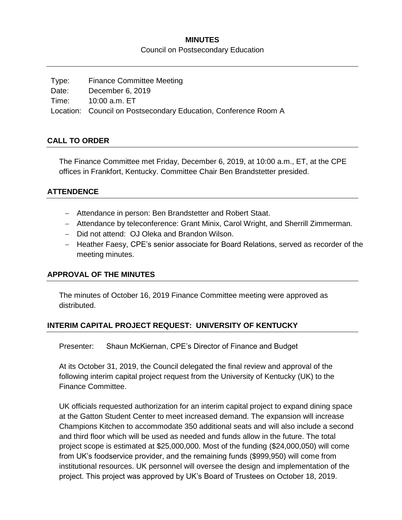### **MINUTES**

Council on Postsecondary Education

| Type: | <b>Finance Committee Meeting</b>                                |
|-------|-----------------------------------------------------------------|
| Date: | December 6, 2019                                                |
|       | Time: 10:00 a.m. ET                                             |
|       | Location: Council on Postsecondary Education, Conference Room A |

### **CALL TO ORDER**

The Finance Committee met Friday, December 6, 2019, at 10:00 a.m., ET, at the CPE offices in Frankfort, Kentucky. Committee Chair Ben Brandstetter presided.

### **ATTENDENCE**

- Attendance in person: Ben Brandstetter and Robert Staat.
- Attendance by teleconference: Grant Minix, Carol Wright, and Sherrill Zimmerman.
- Did not attend: OJ Oleka and Brandon Wilson.
- Heather Faesy, CPE's senior associate for Board Relations, served as recorder of the meeting minutes.

### **APPROVAL OF THE MINUTES**

The minutes of October 16, 2019 Finance Committee meeting were approved as distributed.

### **INTERIM CAPITAL PROJECT REQUEST: UNIVERSITY OF KENTUCKY**

Presenter: Shaun McKiernan, CPE's Director of Finance and Budget

At its October 31, 2019, the Council delegated the final review and approval of the following interim capital project request from the University of Kentucky (UK) to the Finance Committee.

UK officials requested authorization for an interim capital project to expand dining space at the Gatton Student Center to meet increased demand. The expansion will increase Champions Kitchen to accommodate 350 additional seats and will also include a second and third floor which will be used as needed and funds allow in the future. The total project scope is estimated at \$25,000,000. Most of the funding (\$24,000,050) will come from UK's foodservice provider, and the remaining funds (\$999,950) will come from institutional resources. UK personnel will oversee the design and implementation of the project. This project was approved by UK's Board of Trustees on October 18, 2019.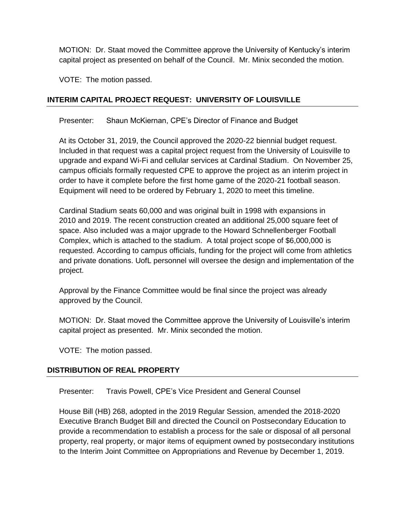MOTION: Dr. Staat moved the Committee approve the University of Kentucky's interim capital project as presented on behalf of the Council. Mr. Minix seconded the motion.

VOTE: The motion passed.

# **INTERIM CAPITAL PROJECT REQUEST: UNIVERSITY OF LOUISVILLE**

Presenter: Shaun McKiernan, CPE's Director of Finance and Budget

At its October 31, 2019, the Council approved the 2020-22 biennial budget request. Included in that request was a capital project request from the University of Louisville to upgrade and expand Wi-Fi and cellular services at Cardinal Stadium. On November 25, campus officials formally requested CPE to approve the project as an interim project in order to have it complete before the first home game of the 2020-21 football season. Equipment will need to be ordered by February 1, 2020 to meet this timeline.

Cardinal Stadium seats 60,000 and was original built in 1998 with expansions in 2010 and 2019. The recent construction created an additional 25,000 square feet of space. Also included was a major upgrade to the Howard Schnellenberger Football Complex, which is attached to the stadium. A total project scope of \$6,000,000 is requested. According to campus officials, funding for the project will come from athletics and private donations. UofL personnel will oversee the design and implementation of the project.

Approval by the Finance Committee would be final since the project was already approved by the Council.

MOTION: Dr. Staat moved the Committee approve the University of Louisville's interim capital project as presented. Mr. Minix seconded the motion.

VOTE: The motion passed.

## **DISTRIBUTION OF REAL PROPERTY**

Presenter: Travis Powell, CPE's Vice President and General Counsel

House Bill (HB) 268, adopted in the 2019 Regular Session, amended the 2018-2020 Executive Branch Budget Bill and directed the Council on Postsecondary Education to provide a recommendation to establish a process for the sale or disposal of all personal property, real property, or major items of equipment owned by postsecondary institutions to the Interim Joint Committee on Appropriations and Revenue by December 1, 2019.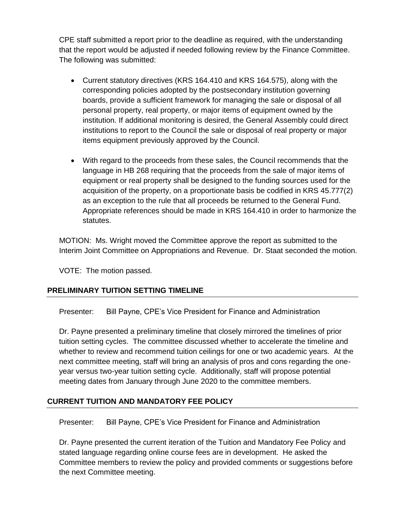CPE staff submitted a report prior to the deadline as required, with the understanding that the report would be adjusted if needed following review by the Finance Committee. The following was submitted:

- Current statutory directives (KRS 164.410 and KRS 164.575), along with the corresponding policies adopted by the postsecondary institution governing boards, provide a sufficient framework for managing the sale or disposal of all personal property, real property, or major items of equipment owned by the institution. If additional monitoring is desired, the General Assembly could direct institutions to report to the Council the sale or disposal of real property or major items equipment previously approved by the Council.
- With regard to the proceeds from these sales, the Council recommends that the language in HB 268 requiring that the proceeds from the sale of major items of equipment or real property shall be designed to the funding sources used for the acquisition of the property, on a proportionate basis be codified in KRS 45.777(2) as an exception to the rule that all proceeds be returned to the General Fund. Appropriate references should be made in KRS 164.410 in order to harmonize the statutes.

MOTION: Ms. Wright moved the Committee approve the report as submitted to the Interim Joint Committee on Appropriations and Revenue. Dr. Staat seconded the motion.

VOTE: The motion passed.

# **PRELIMINARY TUITION SETTING TIMELINE**

Presenter: Bill Payne, CPE's Vice President for Finance and Administration

Dr. Payne presented a preliminary timeline that closely mirrored the timelines of prior tuition setting cycles. The committee discussed whether to accelerate the timeline and whether to review and recommend tuition ceilings for one or two academic years. At the next committee meeting, staff will bring an analysis of pros and cons regarding the oneyear versus two-year tuition setting cycle. Additionally, staff will propose potential meeting dates from January through June 2020 to the committee members.

## **CURRENT TUITION AND MANDATORY FEE POLICY**

Presenter: Bill Payne, CPE's Vice President for Finance and Administration

Dr. Payne presented the current iteration of the Tuition and Mandatory Fee Policy and stated language regarding online course fees are in development. He asked the Committee members to review the policy and provided comments or suggestions before the next Committee meeting.